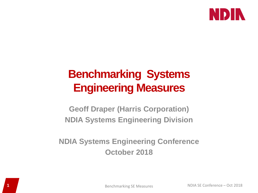

# **Benchmarking Systems Engineering Measures**

**Geoff Draper (Harris Corporation) NDIA Systems Engineering Division**

**NDIA Systems Engineering Conference October 2018**

**1** Benchmarking SE Measures NDIA SE Conference – Oct 2018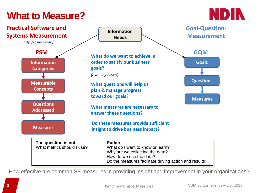# **What to Measure?**





How effective are common SE measures in providing insight and improvement in your organizations?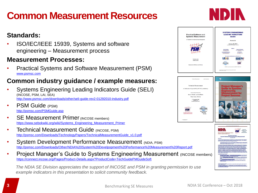# **Common Measurement Resources**

### **Standards:**

• ISO/IEC/IEEE 15939, Systems and software engineering – Measurement process

### **Measurement Processes:**

• Practical Systems and Software Measurement (PSM) [www.psmsc.com](http://www.psmsc.com/)

### **Common industry guidance / example measures:**

- Systems Engineering Leading Indicators Guide (SELI) (INCOSE, PSM, LAI, SEA) <http://www.psmsc.com/downloads/other/seli-guide-rev2-01292010-industry.pdf>
- PSM Guide (PSM) <http://psmsc.com/PSMGuide.asp>
- **SE Measurement Primer (INCOSE members)** [https://www.sebokwiki.org/wiki/Systems\\_Engineering\\_Measurement\\_Primer](https://www.sebokwiki.org/wiki/Systems_Engineering_Measurement_Primer)
- **Technical Measurement Guide (INCOSE, PSM)** [http://psmsc.com/Downloads/TechnologyPapers/TechnicalMeasurementGuide\\_v1.0.pdf](http://psmsc.com/Downloads/TechnologyPapers/TechnicalMeasurementGuide_v1.0.pdf)
- System Development Performance Measurement (NDIA, PSM) [http://psmsc.com/Downloads/Other/NDIA%20System%20Develpopment%20Performance%20Measurement%20Report.pdf](http://psmsc.com/Downloads/Other/NDIA System Develpopment Performance Measurement Report.pdf)
- Project Manager's Guide to Systems Engineering Measurement (INCOSE members) <https://connect.incose.org/Pages/Product-Details.aspx?ProductCode=TechGuidePMGuideSoft>

*The NDIA SE Division appreciates the support of INCOSE and PSM in granting permission to use example indicators in this presentation to solicit community feedback.*





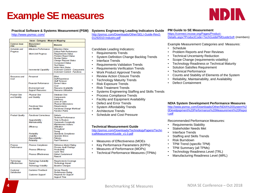# **Example SE measures**



#### **Practical Software & Systems Measurement (PSM)** <http://www.psmsc.com/>

| Issue - Category - Measure Mapping |                                                                                     |                                                                                                                                                                                                                                                                             |  |
|------------------------------------|-------------------------------------------------------------------------------------|-----------------------------------------------------------------------------------------------------------------------------------------------------------------------------------------------------------------------------------------------------------------------------|--|
| Common Issue<br>Ama                | <b>Moasuroment</b><br>Category                                                      | Moasuros                                                                                                                                                                                                                                                                    |  |
| Schedule and<br>Progress           | Milestone Performance<br><b>Work Unit Progress</b><br><b>Incremental Capability</b> | Milestone Dates<br>Critical Path Performance<br>Requirements Status<br>Problem Report Status<br><b>Review Status</b><br><b>Change Request Status</b><br><b>Component Status</b><br><b>Test Status</b><br><b>Action liem Status</b><br><b>Increment Content - Components</b> |  |
|                                    |                                                                                     | <b>Increment Content - Functions</b>                                                                                                                                                                                                                                        |  |
| Resources and<br>Cost              | Personnel                                                                           | Effort<br><b>Staff Experience</b><br>Staff Turnover                                                                                                                                                                                                                         |  |
|                                    | Financial Performance                                                               | <b>Earned Value</b><br>Cost                                                                                                                                                                                                                                                 |  |
|                                    | Environment and<br><b>Support Resources</b>                                         | Resource Availability<br>Resource Utilization                                                                                                                                                                                                                               |  |
| Product Size<br>and Stability      | Physical Size<br>and Stability                                                      | Database Size<br>Components<br>Interfaces<br><b>Lines of Code</b><br>Physical Dimensions                                                                                                                                                                                    |  |
|                                    | Functional Size<br>and Stability                                                    | Requirements<br>Functional Change Workload<br><b>Function Points</b>                                                                                                                                                                                                        |  |
| <b>Product Quality</b>             | <b>Functional Correctness</b><br>Supportability -                                   | Defects<br><b>Technical Performance</b><br><b>Time to Restore</b>                                                                                                                                                                                                           |  |
|                                    | Maintainability<br><b>Efficiency</b>                                                | <b>Cyclomatic Complexity</b><br>Maintenance Actions<br><b>Utilization</b><br>Throughput                                                                                                                                                                                     |  |
|                                    | Portability<br>Usability<br>Dependability -<br>Reliability                          | Timina<br>Standards Compliance<br>Operator Errors<br>Failures<br><b>Fault Tolerance</b>                                                                                                                                                                                     |  |
| Process<br>Performance             | Process Compliance<br><b>Process Efficiency</b>                                     | Reference Model Rating<br>Process Audit Findings<br>Productivity                                                                                                                                                                                                            |  |
|                                    | <b>Process Effectiveness</b>                                                        | Cycle Time<br><b>Defect Containment</b><br>Rework                                                                                                                                                                                                                           |  |
| Technology<br>Effectiveness        | Technology Suitability<br><i><b>Impact</b></i><br><b>Technology Volatilty</b>       | Requirements Coverage<br>Technology Impact<br><b>Baseline Changes</b>                                                                                                                                                                                                       |  |
| Customer<br>Satisfaction           | <b>Customer Feedback</b><br><b>Customer Support</b>                                 | Survey Results<br>Performance Rating<br>Requests for Support<br><b>Support Time</b>                                                                                                                                                                                         |  |

### **Systems Engineering Leading Indicators Guide**

[http://psmsc.com/Downloads/Other/SELI-Guide-Rev2-](http://psmsc.com/Downloads/Other/SELI-Guide-Rev2-01292010-Industry.pdf) 01292010-Industry.pdf

Candidate Leading Indicators:

- Requirements Trends
- System Definition Change Backlog Trends
- Interface Trends
- Requirements Validation Trends
- Requirements Verification Trends
- Work Product Approval Trends
- **Review Action Closure Trends**
- **Technology Maturity Trends**
- Risk Exposure Trends
- Risk Treatment Trends
- Systems Engineering Staffing and Skills Trends
- Process Compliance Trends
- Facility and Equipment Availability
- Defect and Error Trends
- System Affordability Trends
- Architecture Trends
- Schedule and Cost Pressure

#### **Technical Measurement Guide**

[http://psmsc.com/Downloads/TechnologyPapers/Techn](http://psmsc.com/Downloads/TechnologyPapers/TechnicalMeasurementGuide_v1.0.pdf) icalMeasurementGuide\_v1.0.pdf

- Measures of Effectiveness (MOEs
- Key Performance Parameters (KPPs)
- Measures of Performance (MOPs)
- Technical Performance Measures (TPMs)

### **PM Guide to SE Measurement**

https://connect.incose.org/Pages/Product-[Details.aspx?ProductCode=TechGuidePMGuideSoft](https://connect.incose.org/Pages/Product-Details.aspx?ProductCode=TechGuidePMGuideSoft) (members)

Example Measurement Categories and Measures:

- Schedule
- Problem Reports and Peer Reviews
- **Technical Uncertainty Reduction**
- Scope Change (requirements volatility)
- Technology Readiness or Technical Maturity
- Solution Satisfies Requirement
- Technical Performance
- Counts and Stability of Elements of the System
- Reliability, Maintainability, and Availability
- Defect Containment

### **NDIA System Development Performance Measures**

http://www.psmsc.com/Downloads/Other/NDIA%20System%2 [0Develpopment%20Performance%20Measurement%20Repor](http://www.psmsc.com/Downloads/Other/NDIA System Develpopment Performance Measurement Report.pdf) t.pdf

Recommended Performance Measures:

- Requirements Stability
- Stakeholder Needs Met
- Interface Trends
- Staffing and Skills Trends
- Risk Burndown
- TPM Trend (specific TPM)
- TPM Summary (all TPMs)
- Technology Readiness Level (TRL)
- Manufacturing Readiness Level (MRL)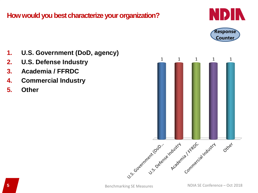### **How would you best characterize your organization?**





- **1. U.S. Government (DoD, agency)**
- **2. U.S. Defense Industry**
- **3. Academia / FFRDC**
- **4. Commercial Industry**
- **5. Other**

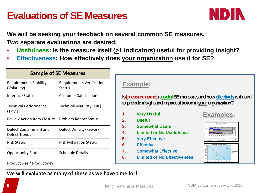# **Evaluations of SE Measures**



**We will be seeking your feedback on several common SE measures. Two separate evaluations are desired:**

- Usefulness: Is the measure itself ( $\geq$ 1 indicators) useful for providing insight?
- **Effectiveness: How effectively does your organization use it for SE?**

| <b>Sample of SE Measures</b>                  |                                     |  |
|-----------------------------------------------|-------------------------------------|--|
| <b>Requirements Stability</b><br>(Volatility) | Requirements Verification<br>Status |  |
| <b>Interface Status</b>                       | <b>Customer Satisfaction</b>        |  |
| <b>Technical Performance</b><br>(TPMs)        | <b>Technical Maturity (TRL)</b>     |  |
| <b>Review Action Item Closure</b>             | <b>Problem Report Status</b>        |  |
| Defect Containment and<br>Defect Trends       | Defect Density/Rework               |  |
| <b>Risk Status</b>                            | <b>Risk Mitigation Status</b>       |  |
| <b>Opportunity Status</b>                     | <b>Schedule Details</b>             |  |
| Product Size / Productivity                   |                                     |  |

### **Example:**

**Is [measure name] a useful SE measure, and how effectively is it used to provide insight and impactful action in yourorganization?**

- **1. Very Useful**
- **2. Useful**
- **3. Somewhat Useful**
- **4. Limited or No Usefulness**
- **5. Very Effective**
- **6. Effective**
- **7. Somewhat Effective**
- **8. Limited or No Effectiveness**





**We will evaluate as many of these as we have time for!**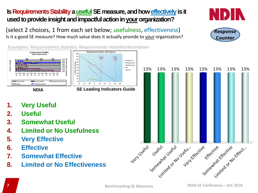### **Is Requirements Stability a useful SE measure, and how effectively is it** used to provide insight and impactful action in your organization?

(select 2 choices, 1 from each set below; usefulness, effectiveness) Is it a good SE measure? How much value does it actually provide to your organization?

**Requirements Volitility: ABC Program** 

Metric<br>Driven<br>SRR





**Examples: Requirements Stability, Requirements Volatility/Burndown**

one

 $9,70%$ 

 $\frac{6}{6}$  50%

 $\geq 40%$  $\frac{1}{8}$  30%

 $60%$ 



- **1. Very Useful**
- **2. Useful**
- **3. Somewhat Useful**
- **4. Limited or No Usefulness**
- **5. Very Effective**
- **6. Effective**
- **7. Somewhat Effective**
- **8. Limited or No Effectiveness**

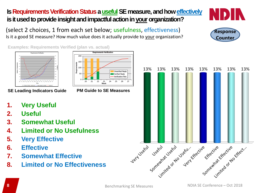### **Is Requirements Verification Status a useful SE measure, and how effectively is it used to provide insight and impactful action in your organization?**

**Unverified Reat** erification Plan

(select 2 choices, 1 from each set below; usefulness, effectiveness) Is it a good SE measure? How much value does it actually provide to your organization?

> 21 22 23 24 25 26

Week

200 150 100

Req

**Examples: Requirements Verified (plan vs. actual)**



**SE Leading Indicators Guide PM Guide to SE Measures**

- **1. Very Useful**
- **2. Useful**
- **3. Somewhat Useful**
- **4. Limited or No Usefulness**
- **5. Very Effective**
- **6. Effective**
- **7. Somewhat Effective**
- **8. Limited or No Effectiveness**

13%

13%

13%

13%

13%

13%





13%

13%

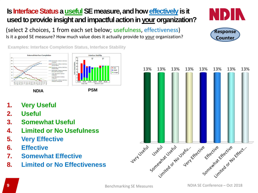## **Is Interface Status a useful SE measure, and how effectively is it** used to provide insight and impactful action in your organization?

(select 2 choices, 1 from each set below; usefulness, effectiveness) Is it a good SE measure? How much value does it actually provide to your organization?

**Examples: Interface Completion Status, Interface Stability**







**NDIA PSM**

- **1. Very Useful**
- **2. Useful**
- **3. Somewhat Useful**
- **4. Limited or No Usefulness**
- **5. Very Effective**
- **6. Effective**
- **7. Somewhat Effective**
- **8. Limited or No Effectiveness**



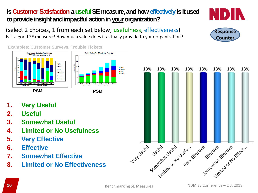### **Is Customer Satisfaction a useful SE measure, and how effectively is it used** to provide insight and impactful action in your organization?

(select 2 choices, 1 from each set below; usefulness, effectiveness) Is it a good SE measure? How much value does it actually provide to your organization?

**Examples: Customer Surveys, Trouble Tickets Customer Satisfaction Survey Total Calls Per Month by Priority** 83/205 surveys returned Medium High Routin No Respon Data as of 31 Mar 99 **PSM PSM**

- **1. Very Useful**
- **2. Useful**
- **3. Somewhat Useful**
- **4. Limited or No Usefulness**
- **5. Very Effective**
- **6. Effective**
- **7. Somewhat Effective**
- **8. Limited or No Effectiveness**





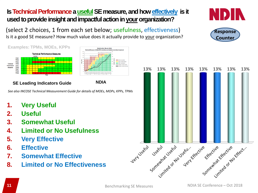### **Is Technical Performance a useful SE measure, and how effectively is it** used to provide insight and impactful action in your organization?

(select 2 choices, 1 from each set below; usefulness, effectiveness) Is it a good SE measure? How much value does it actually provide to your organization?



**Stakeholder Needs Met** 

### **SE Leading Indicators Guide NDIA**

*See also INCOSE Technical Measurement Guide for details of MOEs, MOPs, KPPs, TPMs*

- **1. Very Useful**
- **2. Useful**
- **3. Somewhat Useful**
- **4. Limited or No Usefulness**
- **5. Very Effective**
- **6. Effective**
- **7. Somewhat Effective**
- **8. Limited or No Effectiveness**



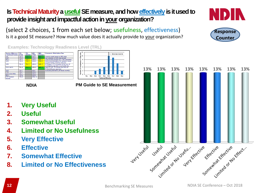### **Is Technical Maturity a useful SE measure, and how effectively is it used to** provide insight and impactful action in your organization?

(select 2 choices, 1 from each set below; usefulness, effectiveness) Is it a good SE measure? How much value does it actually provide to your organization?

÷.

TRL1 TRL<sub>2</sub> TRL3 TRI 4 **Technical Maturity** 

**Examples: Technology Readiness Level (TRL)**



**NDIA PM Guide to SE Measurement**

- Minimum maturity

- **1. Very Useful**
- **2. Useful**
- **3. Somewhat Useful**
- **4. Limited or No Usefulness**
- **5. Very Effective**
- **6. Effective**
- **7. Somewhat Effective**
- **8. Limited or No Effectiveness**





Counte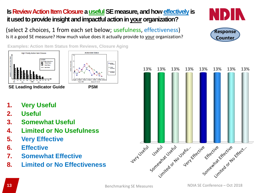### **Is Review Action Item Closure a useful SE measure, and how effectively is** it used to provide insight and impactful action in your organization?

(select 2 choices, 1 from each set below; usefulness, effectiveness) Is it a good SE measure? How much value does it actually provide to your organization?

**Action Itam Status** 

**Examples: Action Item Status from Reviews, Closure Aging**



**SE Leading Indicator Guide**

- **1. Very Useful**
- **2. Useful**
- **3. Somewhat Useful**
- **4. Limited or No Usefulness**
- **5. Very Effective**
- **6. Effective**
- **7. Somewhat Effective**
- **8. Limited or No Effectiveness**





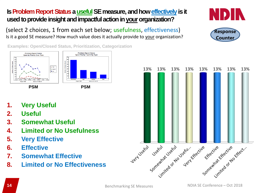### **Is Problem Report Status a useful SE measure, and how effectively is it** used to provide insight and impactful action in your organization?

(select 2 choices, 1 from each set below; usefulness, effectiveness) Is it a good SE measure? How much value does it actually provide to your organization?

**Examples: Open/Closed Status, Prioritization, Categorization**



- **1. Very Useful**
- **2. Useful**
- **3. Somewhat Useful**
- **4. Limited or No Usefulness**
- **5. Very Effective**
- **6. Effective**
- **7. Somewhat Effective**
- **8. Limited or No Effectiveness**



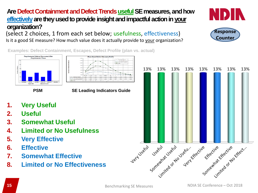13%

### Are Defect Containment and Defect Trends useful SE measures, and how **effectively** are they used to provide insight and impactful action in your **organization?**

**SE Leading Indicators Guide**

(select 2 choices, 1 from each set below; usefulness, effectiveness) Is it a good SE measure? How much value does it actually provide to your organization?

**Examples: Defect Containment, Escapes, Defect Profile (plan vs. actual)**



Requirements Defects Discovered After<br>Requirements Phase

- **1. Very Useful**
- **2. Useful**
- **3. Somewhat Useful**
- **4. Limited or No Usefulness**
- **5. Very Effective**
- **6. Effective**
- **7. Somewhat Effective**
- **8. Limited or No Effectiveness**



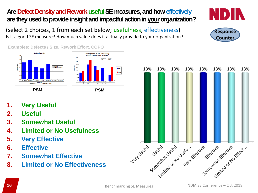### Are Defect Density and Rework useful SE measures, and how effectively are they used to provide insight and impactful action in your organization?

(select 2 choices, 1 from each set below; usefulness, effectiveness) Is it a good SE measure? How much value does it actually provide to your organization?

**Examples: Defects / Size, Rework Effort, COPQ**





 $\overline{\phantom{a}}$  part

- **1. Very Useful**
- **2. Useful**
- **3. Somewhat Useful**
- **4. Limited or No Usefulness**
- **5. Very Effective**
- **6. Effective**
- **7. Somewhat Effective**
- **8. Limited or No Effectiveness**



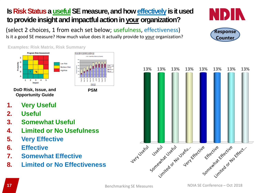## **Is Risk Status a useful SE measure, and how effectively is it used** to provide insight and impactful action in your organization?

(select 2 choices, 1 from each set below; usefulness, effectiveness) Is it a good SE measure? How much value does it actually provide to your organization?

3103 - Open Rick Artiens by S

uct (AI) [2] WBS Level (AI) [2]

**PSM**

**Examples: Risk Matrix, Risk Summary**



**DoD Risk, Issue, and Opportunity Guide**

- **1. Very Useful**
- **2. Useful**
- **3. Somewhat Useful**
- **4. Limited or No Usefulness**
- **5. Very Effective**
- **6. Effective**
- **7. Somewhat Effective**
- **8. Limited or No Effectiveness**





Counte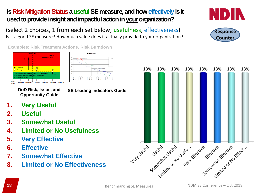### **Is Risk Mitigation Status a useful SE measure, and how effectively is it** used to provide insight and impactful action in your organization?

(select 2 choices, 1 from each set below; usefulness, effectiveness) Is it a good SE measure? How much value does it actually provide to your organization?

**Examples: Risk Treatment Actions, Risk Burndown**





**Opportunity Guide**

**DoD Risk, Issue, and SE Leading Indicators Guide**

- **1. Very Useful**
- **2. Useful**
- **3. Somewhat Useful**
- **4. Limited or No Usefulness**
- **5. Very Effective**
- **6. Effective**
- **7. Somewhat Effective**
- **8. Limited or No Effectiveness**





Counte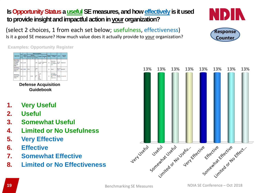### **Is Opportunity Status a useful SE measures, and how effectively is it used** to provide insight and impactful action in your organization?

(select 2 choices, 1 from each set below; usefulness, effectiveness) Is it a good SE measure? How much value does it actually provide to your organization?

**Examples: Opportunity Register**

**Defense Acquisition Guidebook**

- **1. Very Useful**
- **2. Useful**
- **3. Somewhat Useful**
- **4. Limited or No Usefulness**
- **5. Very Effective**
- **6. Effective**
- **7. Somewhat Effective**
- **8. Limited or No Effectiveness**

13%

13%

13%

13%

13%

13%







13%

13%

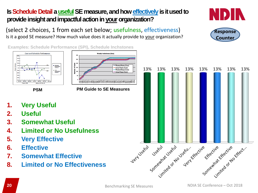### **Is Schedule Detail a useful SE measure, and how effectively is it used to** provide insight and impactful action in your organization?

(select 2 choices, 1 from each set below; usefulness, effectiveness) Is it a good SE measure? How much value does it actually provide to your organization?

**Examples: Schedule Performance (SPI), Schedule Inchstones**



- **1. Very Useful**
- **2. Useful**
- **3. Somewhat Useful**
- **4. Limited or No Usefulness**
- **5. Very Effective**
- **6. Effective**
- **7. Somewhat Effective**
- **8. Limited or No Effectiveness**







espons Counte



+ Planned Starts (Cu Actual Starts (Cum)

-Planned Stops (Cum)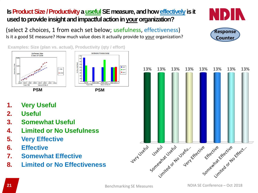### **Is Product Size / Productivity a useful SE measure, and how effectively is it** used to provide insight and impactful action in your organization?

(select 2 choices, 1 from each set below; usefulness, effectiveness) Is it a good SE measure? How much value does it actually provide to your organization?

**Examples: Size (plan vs. actual), Productivity (qty / effort)**





- **1. Very Useful**
- **2. Useful**
- **3. Somewhat Useful**
- **4. Limited or No Usefulness**
- **5. Very Effective**
- **6. Effective**
- **7. Somewhat Effective**
- **8. Limited or No Effectiveness**